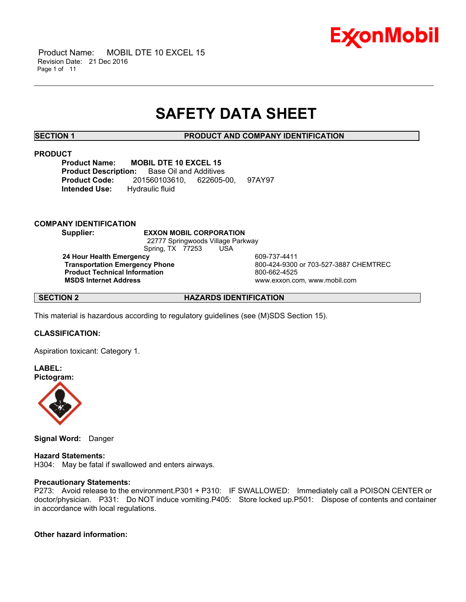

 Product Name: MOBIL DTE 10 EXCEL 15 Revision Date: 21 Dec 2016 Page 1 of 11

# **SAFETY DATA SHEET**

\_\_\_\_\_\_\_\_\_\_\_\_\_\_\_\_\_\_\_\_\_\_\_\_\_\_\_\_\_\_\_\_\_\_\_\_\_\_\_\_\_\_\_\_\_\_\_\_\_\_\_\_\_\_\_\_\_\_\_\_\_\_\_\_\_\_\_\_\_\_\_\_\_\_\_\_\_\_\_\_\_\_\_\_\_\_\_\_\_\_\_\_\_\_\_\_\_\_\_\_\_\_\_\_\_\_\_\_\_\_\_\_\_\_\_\_\_\_

**SECTION 1 PRODUCT AND COMPANY IDENTIFICATION**

# **PRODUCT**

**Product Name: MOBIL DTE 10 EXCEL 15 Product Description:** Base Oil and Additives **Product Code:** 201560103610, 622605-00, 97AY97 **Intended Use:** Hydraulic fluid

# **COMPANY IDENTIFICATION**

**Supplier: EXXON MOBIL CORPORATION** 22777 Springwoods Village Parkway Spring, TX 77253 USA **24 Hour Health Emergency** 609-737-4411 **Product Technical Information**<br>
MSDS Internet Address<br>
MSDS Internet Address

**Transportation Emergency Phone** 800-424-9300 or 703-527-3887 CHEMTREC  **MSDS Internet Address** www.exxon.com, www.mobil.com

**SECTION 2 HAZARDS IDENTIFICATION**

This material is hazardous according to regulatory guidelines (see (M)SDS Section 15).

# **CLASSIFICATION:**

Aspiration toxicant: Category 1.

**LABEL: Pictogram:**



**Signal Word:** Danger

# **Hazard Statements:**

H304: May be fatal if swallowed and enters airways.

# **Precautionary Statements:**

P273: Avoid release to the environment.P301 + P310: IF SWALLOWED: Immediately call a POISON CENTER or doctor/physician. P331: Do NOT induce vomiting.P405: Store locked up.P501: Dispose of contents and container in accordance with local regulations.

# **Other hazard information:**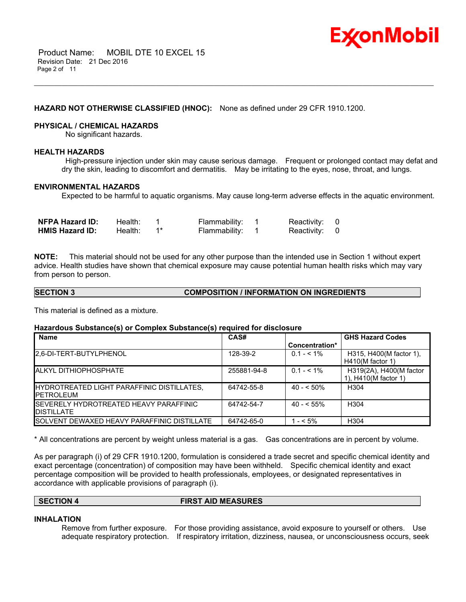

# **HAZARD NOT OTHERWISE CLASSIFIED (HNOC):** None as defined under 29 CFR 1910.1200.

# **PHYSICAL / CHEMICAL HAZARDS**

No significant hazards.

# **HEALTH HAZARDS**

 High-pressure injection under skin may cause serious damage. Frequent or prolonged contact may defat and dry the skin, leading to discomfort and dermatitis. May be irritating to the eyes, nose, throat, and lungs.

\_\_\_\_\_\_\_\_\_\_\_\_\_\_\_\_\_\_\_\_\_\_\_\_\_\_\_\_\_\_\_\_\_\_\_\_\_\_\_\_\_\_\_\_\_\_\_\_\_\_\_\_\_\_\_\_\_\_\_\_\_\_\_\_\_\_\_\_\_\_\_\_\_\_\_\_\_\_\_\_\_\_\_\_\_\_\_\_\_\_\_\_\_\_\_\_\_\_\_\_\_\_\_\_\_\_\_\_\_\_\_\_\_\_\_\_\_\_

# **ENVIRONMENTAL HAZARDS**

Expected to be harmful to aquatic organisms. May cause long-term adverse effects in the aquatic environment.

| <b>NFPA Hazard ID:</b> | Health: | Flammability: | Reactivity: 0 |  |
|------------------------|---------|---------------|---------------|--|
| <b>HMIS Hazard ID:</b> | Health: | Flammability: | Reactivity: 0 |  |

**NOTE:** This material should not be used for any other purpose than the intended use in Section 1 without expert advice. Health studies have shown that chemical exposure may cause potential human health risks which may vary from person to person.

# **SECTION 3 COMPOSITION / INFORMATION ON INGREDIENTS**

This material is defined as a mixture.

# **Hazardous Substance(s) or Complex Substance(s) required for disclosure**

| <b>Name</b>                                                          | CAS#        |                | <b>GHS Hazard Codes</b>                         |
|----------------------------------------------------------------------|-------------|----------------|-------------------------------------------------|
|                                                                      |             | Concentration* |                                                 |
| 2.6-DI-TERT-BUTYLPHENOL                                              | 128-39-2    | $0.1 - 5.1\%$  | H315, H400(M factor 1),<br>$H410(M$ factor 1)   |
| <b>ALKYL DITHIOPHOSPHATE</b>                                         | 255881-94-8 | $0.1 - 5.1\%$  | H319(2A), H400(M factor<br>1), H410(M factor 1) |
| HYDROTREATED LIGHT PARAFFINIC DISTILLATES,<br><b>IPETROLEUM</b>      | 64742-55-8  | $40 - 50\%$    | H <sub>304</sub>                                |
| <b>ISEVERELY HYDROTREATED HEAVY PARAFFINIC</b><br><b>IDISTILLATE</b> | 64742-54-7  | $40 - 55\%$    | H <sub>304</sub>                                |
| <b>ISOLVENT DEWAXED HEAVY PARAFFINIC DISTILLATE</b>                  | 64742-65-0  | $1 - 5\%$      | H <sub>304</sub>                                |

\* All concentrations are percent by weight unless material is a gas. Gas concentrations are in percent by volume.

As per paragraph (i) of 29 CFR 1910.1200, formulation is considered a trade secret and specific chemical identity and exact percentage (concentration) of composition may have been withheld. Specific chemical identity and exact percentage composition will be provided to health professionals, employees, or designated representatives in accordance with applicable provisions of paragraph (i).

| SECTION 4 | <b>FIRST AID MEASURES</b> |  |
|-----------|---------------------------|--|
|           |                           |  |

# **INHALATION**

Remove from further exposure. For those providing assistance, avoid exposure to yourself or others. Use adequate respiratory protection. If respiratory irritation, dizziness, nausea, or unconsciousness occurs, seek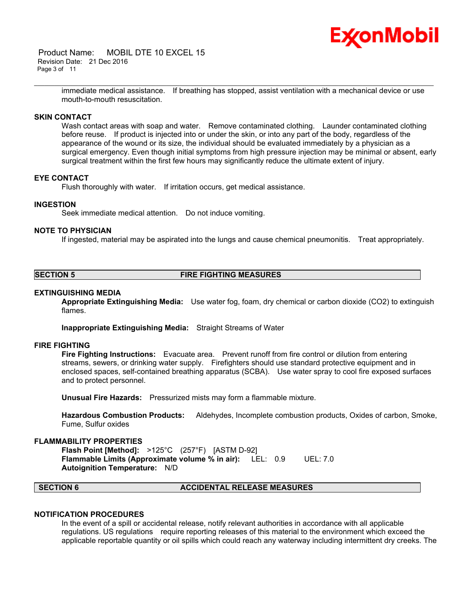Product Name: MOBIL DTE 10 EXCEL 15 Revision Date: 21 Dec 2016 Page 3 of 11



immediate medical assistance. If breathing has stopped, assist ventilation with a mechanical device or use mouth-to-mouth resuscitation.

\_\_\_\_\_\_\_\_\_\_\_\_\_\_\_\_\_\_\_\_\_\_\_\_\_\_\_\_\_\_\_\_\_\_\_\_\_\_\_\_\_\_\_\_\_\_\_\_\_\_\_\_\_\_\_\_\_\_\_\_\_\_\_\_\_\_\_\_\_\_\_\_\_\_\_\_\_\_\_\_\_\_\_\_\_\_\_\_\_\_\_\_\_\_\_\_\_\_\_\_\_\_\_\_\_\_\_\_\_\_\_\_\_\_\_\_\_\_

# **SKIN CONTACT**

Wash contact areas with soap and water. Remove contaminated clothing. Launder contaminated clothing before reuse. If product is injected into or under the skin, or into any part of the body, regardless of the appearance of the wound or its size, the individual should be evaluated immediately by a physician as a surgical emergency. Even though initial symptoms from high pressure injection may be minimal or absent, early surgical treatment within the first few hours may significantly reduce the ultimate extent of injury.

### **EYE CONTACT**

Flush thoroughly with water. If irritation occurs, get medical assistance.

# **INGESTION**

Seek immediate medical attention. Do not induce vomiting.

# **NOTE TO PHYSICIAN**

If ingested, material may be aspirated into the lungs and cause chemical pneumonitis. Treat appropriately.

# **SECTION 5 FIRE FIGHTING MEASURES**

#### **EXTINGUISHING MEDIA**

**Appropriate Extinguishing Media:** Use water fog, foam, dry chemical or carbon dioxide (CO2) to extinguish flames.

**Inappropriate Extinguishing Media:** Straight Streams of Water

### **FIRE FIGHTING**

**Fire Fighting Instructions:** Evacuate area. Prevent runoff from fire control or dilution from entering streams, sewers, or drinking water supply. Firefighters should use standard protective equipment and in enclosed spaces, self-contained breathing apparatus (SCBA). Use water spray to cool fire exposed surfaces and to protect personnel.

**Unusual Fire Hazards:** Pressurized mists may form a flammable mixture.

**Hazardous Combustion Products:** Aldehydes, Incomplete combustion products, Oxides of carbon, Smoke, Fume, Sulfur oxides

#### **FLAMMABILITY PROPERTIES**

**Flash Point [Method]:** >125°C (257°F) [ASTM D-92] **Flammable Limits (Approximate volume % in air):** LEL: 0.9 UEL: 7.0 **Autoignition Temperature:** N/D

### **SECTION 6 ACCIDENTAL RELEASE MEASURES**

# **NOTIFICATION PROCEDURES**

In the event of a spill or accidental release, notify relevant authorities in accordance with all applicable regulations. US regulations require reporting releases of this material to the environment which exceed the applicable reportable quantity or oil spills which could reach any waterway including intermittent dry creeks. The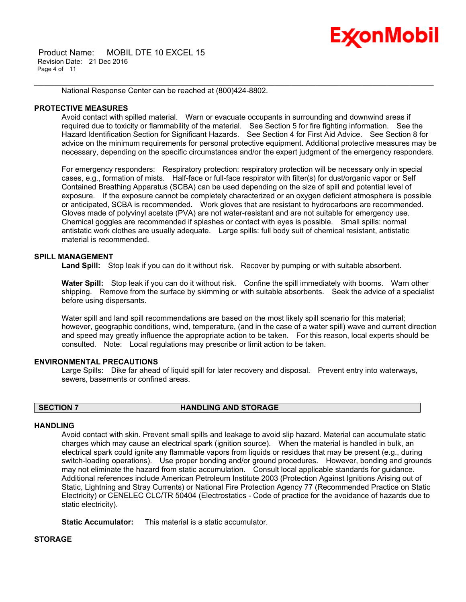# Ex⁄onMobil

 Product Name: MOBIL DTE 10 EXCEL 15 Revision Date: 21 Dec 2016 Page 4 of 11

National Response Center can be reached at (800)424-8802.

# **PROTECTIVE MEASURES**

Avoid contact with spilled material. Warn or evacuate occupants in surrounding and downwind areas if required due to toxicity or flammability of the material. See Section 5 for fire fighting information. See the Hazard Identification Section for Significant Hazards. See Section 4 for First Aid Advice. See Section 8 for advice on the minimum requirements for personal protective equipment. Additional protective measures may be necessary, depending on the specific circumstances and/or the expert judgment of the emergency responders.

\_\_\_\_\_\_\_\_\_\_\_\_\_\_\_\_\_\_\_\_\_\_\_\_\_\_\_\_\_\_\_\_\_\_\_\_\_\_\_\_\_\_\_\_\_\_\_\_\_\_\_\_\_\_\_\_\_\_\_\_\_\_\_\_\_\_\_\_\_\_\_\_\_\_\_\_\_\_\_\_\_\_\_\_\_\_\_\_\_\_\_\_\_\_\_\_\_\_\_\_\_\_\_\_\_\_\_\_\_\_\_\_\_\_\_\_\_\_

For emergency responders: Respiratory protection: respiratory protection will be necessary only in special cases, e.g., formation of mists. Half-face or full-face respirator with filter(s) for dust/organic vapor or Self Contained Breathing Apparatus (SCBA) can be used depending on the size of spill and potential level of exposure. If the exposure cannot be completely characterized or an oxygen deficient atmosphere is possible or anticipated, SCBA is recommended. Work gloves that are resistant to hydrocarbons are recommended. Gloves made of polyvinyl acetate (PVA) are not water-resistant and are not suitable for emergency use. Chemical goggles are recommended if splashes or contact with eyes is possible. Small spills: normal antistatic work clothes are usually adequate. Large spills: full body suit of chemical resistant, antistatic material is recommended.

# **SPILL MANAGEMENT**

Land Spill: Stop leak if you can do it without risk. Recover by pumping or with suitable absorbent.

**Water Spill:** Stop leak if you can do it without risk. Confine the spill immediately with booms. Warn other shipping. Remove from the surface by skimming or with suitable absorbents. Seek the advice of a specialist before using dispersants.

Water spill and land spill recommendations are based on the most likely spill scenario for this material; however, geographic conditions, wind, temperature, (and in the case of a water spill) wave and current direction and speed may greatly influence the appropriate action to be taken. For this reason, local experts should be consulted. Note: Local regulations may prescribe or limit action to be taken.

# **ENVIRONMENTAL PRECAUTIONS**

Large Spills: Dike far ahead of liquid spill for later recovery and disposal. Prevent entry into waterways, sewers, basements or confined areas.

# **SECTION 7 HANDLING AND STORAGE**

# **HANDLING**

Avoid contact with skin. Prevent small spills and leakage to avoid slip hazard. Material can accumulate static charges which may cause an electrical spark (ignition source). When the material is handled in bulk, an electrical spark could ignite any flammable vapors from liquids or residues that may be present (e.g., during switch-loading operations). Use proper bonding and/or ground procedures. However, bonding and grounds may not eliminate the hazard from static accumulation. Consult local applicable standards for guidance. Additional references include American Petroleum Institute 2003 (Protection Against Ignitions Arising out of Static, Lightning and Stray Currents) or National Fire Protection Agency 77 (Recommended Practice on Static Electricity) or CENELEC CLC/TR 50404 (Electrostatics - Code of practice for the avoidance of hazards due to static electricity).

**Static Accumulator:** This material is a static accumulator.

# **STORAGE**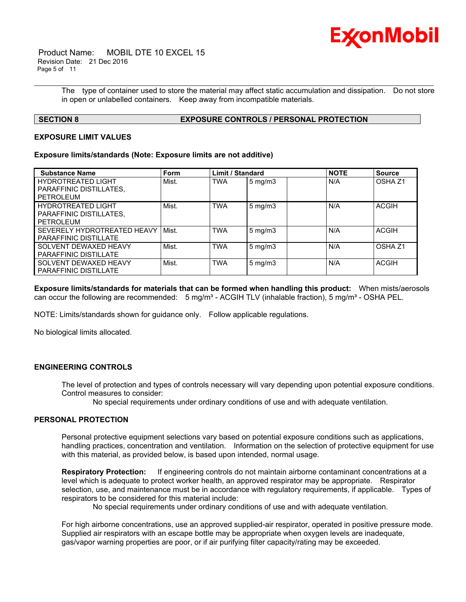

 Product Name: MOBIL DTE 10 EXCEL 15 Revision Date: 21 Dec 2016 Page 5 of 11

> The type of container used to store the material may affect static accumulation and dissipation. Do not store in open or unlabelled containers. Keep away from incompatible materials.

\_\_\_\_\_\_\_\_\_\_\_\_\_\_\_\_\_\_\_\_\_\_\_\_\_\_\_\_\_\_\_\_\_\_\_\_\_\_\_\_\_\_\_\_\_\_\_\_\_\_\_\_\_\_\_\_\_\_\_\_\_\_\_\_\_\_\_\_\_\_\_\_\_\_\_\_\_\_\_\_\_\_\_\_\_\_\_\_\_\_\_\_\_\_\_\_\_\_\_\_\_\_\_\_\_\_\_\_\_\_\_\_\_\_\_\_\_\_

# **SECTION 8 EXPOSURE CONTROLS / PERSONAL PROTECTION**

# **EXPOSURE LIMIT VALUES**

### **Exposure limits/standards (Note: Exposure limits are not additive)**

| <b>Substance Name</b>        | <b>Form</b> | <b>Limit / Standard</b> |                    | <b>NOTE</b> | <b>Source</b>      |
|------------------------------|-------------|-------------------------|--------------------|-------------|--------------------|
| <b>HYDROTREATED LIGHT</b>    | Mist.       | <b>TWA</b>              | $5 \text{ mg/m}$ 3 | N/A         | OSHA <sub>Z1</sub> |
| PARAFFINIC DISTILLATES.      |             |                         |                    |             |                    |
| <b>PETROLEUM</b>             |             |                         |                    |             |                    |
| <b>HYDROTREATED LIGHT</b>    | Mist.       | <b>TWA</b>              | $5$ mg/m $3$       | N/A         | <b>ACGIH</b>       |
| PARAFFINIC DISTILLATES,      |             |                         |                    |             |                    |
| <b>PETROLEUM</b>             |             |                         |                    |             |                    |
| SEVERELY HYDROTREATED HEAVY  | Mist.       | <b>TWA</b>              | $5 \text{ mg/m}$   | N/A         | <b>ACGIH</b>       |
| PARAFFINIC DISTILLATE        |             |                         |                    |             |                    |
| SOLVENT DEWAXED HEAVY        | Mist.       | <b>TWA</b>              | $5 \text{ mg/m}$   | N/A         | OSHA <sub>Z1</sub> |
| PARAFFINIC DISTILLATE        |             |                         |                    |             |                    |
| SOLVENT DEWAXED HEAVY        | Mist.       | <b>TWA</b>              | $5 \text{ mg/m}$ 3 | N/A         | <b>ACGIH</b>       |
| <b>PARAFFINIC DISTILLATE</b> |             |                         |                    |             |                    |

**Exposure limits/standards for materials that can be formed when handling this product:** When mists/aerosols can occur the following are recommended: 5 mg/m<sup>3</sup> - ACGIH TLV (inhalable fraction), 5 mg/m<sup>3</sup> - OSHA PEL.

NOTE: Limits/standards shown for guidance only. Follow applicable regulations.

No biological limits allocated.

# **ENGINEERING CONTROLS**

The level of protection and types of controls necessary will vary depending upon potential exposure conditions. Control measures to consider:

No special requirements under ordinary conditions of use and with adequate ventilation.

### **PERSONAL PROTECTION**

Personal protective equipment selections vary based on potential exposure conditions such as applications, handling practices, concentration and ventilation. Information on the selection of protective equipment for use with this material, as provided below, is based upon intended, normal usage.

**Respiratory Protection:** If engineering controls do not maintain airborne contaminant concentrations at a level which is adequate to protect worker health, an approved respirator may be appropriate. Respirator selection, use, and maintenance must be in accordance with regulatory requirements, if applicable. Types of respirators to be considered for this material include:

No special requirements under ordinary conditions of use and with adequate ventilation.

For high airborne concentrations, use an approved supplied-air respirator, operated in positive pressure mode. Supplied air respirators with an escape bottle may be appropriate when oxygen levels are inadequate, gas/vapor warning properties are poor, or if air purifying filter capacity/rating may be exceeded.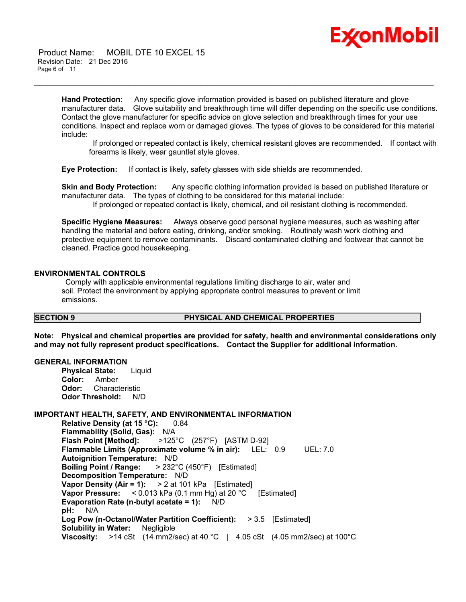

 Product Name: MOBIL DTE 10 EXCEL 15 Revision Date: 21 Dec 2016 Page 6 of 11

> **Hand Protection:** Any specific glove information provided is based on published literature and glove manufacturer data. Glove suitability and breakthrough time will differ depending on the specific use conditions. Contact the glove manufacturer for specific advice on glove selection and breakthrough times for your use conditions. Inspect and replace worn or damaged gloves. The types of gloves to be considered for this material include:

\_\_\_\_\_\_\_\_\_\_\_\_\_\_\_\_\_\_\_\_\_\_\_\_\_\_\_\_\_\_\_\_\_\_\_\_\_\_\_\_\_\_\_\_\_\_\_\_\_\_\_\_\_\_\_\_\_\_\_\_\_\_\_\_\_\_\_\_\_\_\_\_\_\_\_\_\_\_\_\_\_\_\_\_\_\_\_\_\_\_\_\_\_\_\_\_\_\_\_\_\_\_\_\_\_\_\_\_\_\_\_\_\_\_\_\_\_\_

 If prolonged or repeated contact is likely, chemical resistant gloves are recommended. If contact with forearms is likely, wear gauntlet style gloves.

**Eye Protection:** If contact is likely, safety glasses with side shields are recommended.

**Skin and Body Protection:** Any specific clothing information provided is based on published literature or manufacturer data. The types of clothing to be considered for this material include: If prolonged or repeated contact is likely, chemical, and oil resistant clothing is recommended.

**Specific Hygiene Measures:** Always observe good personal hygiene measures, such as washing after handling the material and before eating, drinking, and/or smoking. Routinely wash work clothing and protective equipment to remove contaminants. Discard contaminated clothing and footwear that cannot be cleaned. Practice good housekeeping.

# **ENVIRONMENTAL CONTROLS**

 Comply with applicable environmental regulations limiting discharge to air, water and soil. Protect the environment by applying appropriate control measures to prevent or limit emissions.

# **SECTION 9 PHYSICAL AND CHEMICAL PROPERTIES**

**Note: Physical and chemical properties are provided for safety, health and environmental considerations only and may not fully represent product specifications. Contact the Supplier for additional information.**

### **GENERAL INFORMATION**

**Physical State:** Liquid **Color:** Amber **Odor:** Characteristic **Odor Threshold:** N/D

## **IMPORTANT HEALTH, SAFETY, AND ENVIRONMENTAL INFORMATION**

**Relative Density (at 15 °C):** 0.84 **Flammability (Solid, Gas):** N/A **Flash Point [Method]:** >125°C (257°F) [ASTM D-92] **Flammable Limits (Approximate volume % in air):** LEL: 0.9 UEL: 7.0 **Autoignition Temperature:** N/D **Boiling Point / Range:** > 232°C (450°F) [Estimated] **Decomposition Temperature:** N/D **Vapor Density (Air = 1):** > 2 at 101 kPa [Estimated] **Vapor Pressure:** < 0.013 kPa (0.1 mm Hg) at 20 °C [Estimated] **Evaporation Rate (n-butyl acetate = 1):** N/D **pH:** N/A **Log Pow (n-Octanol/Water Partition Coefficient):** > 3.5 [Estimated] **Solubility in Water:** Negligible **Viscosity:** >14 cSt (14 mm2/sec) at 40 °C | 4.05 cSt (4.05 mm2/sec) at 100 °C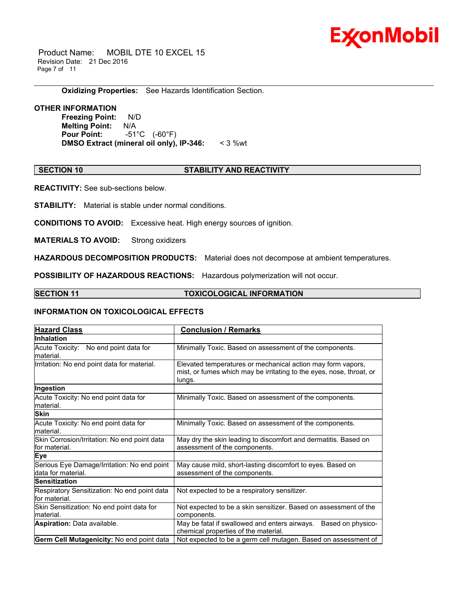

 Product Name: MOBIL DTE 10 EXCEL 15 Revision Date: 21 Dec 2016 Page 7 of 11

**Oxidizing Properties:** See Hazards Identification Section.

# **OTHER INFORMATION**

**Freezing Point:** N/D **Melting Point:** N/A **Pour Point:** -51°C (-60°F) **DMSO Extract (mineral oil only), IP-346:** < 3 %wt

# **SECTION 10 STABILITY AND REACTIVITY**

\_\_\_\_\_\_\_\_\_\_\_\_\_\_\_\_\_\_\_\_\_\_\_\_\_\_\_\_\_\_\_\_\_\_\_\_\_\_\_\_\_\_\_\_\_\_\_\_\_\_\_\_\_\_\_\_\_\_\_\_\_\_\_\_\_\_\_\_\_\_\_\_\_\_\_\_\_\_\_\_\_\_\_\_\_\_\_\_\_\_\_\_\_\_\_\_\_\_\_\_\_\_\_\_\_\_\_\_\_\_\_\_\_\_\_\_\_\_

**REACTIVITY:** See sub-sections below.

**STABILITY:** Material is stable under normal conditions.

**CONDITIONS TO AVOID:** Excessive heat. High energy sources of ignition.

**MATERIALS TO AVOID:** Strong oxidizers

**HAZARDOUS DECOMPOSITION PRODUCTS:** Material does not decompose at ambient temperatures.

**POSSIBILITY OF HAZARDOUS REACTIONS:** Hazardous polymerization will not occur.

# **SECTION 11 TOXICOLOGICAL INFORMATION**

# **INFORMATION ON TOXICOLOGICAL EFFECTS**

| <b>Hazard Class</b>                                               | <b>Conclusion / Remarks</b>                                                                                                                   |
|-------------------------------------------------------------------|-----------------------------------------------------------------------------------------------------------------------------------------------|
| <b>Inhalation</b>                                                 |                                                                                                                                               |
| Acute Toxicity: No end point data for<br>material.                | Minimally Toxic. Based on assessment of the components.                                                                                       |
| Irritation: No end point data for material.                       | Elevated temperatures or mechanical action may form vapors,<br>mist, or fumes which may be irritating to the eyes, nose, throat, or<br>lungs. |
| Ingestion                                                         |                                                                                                                                               |
| Acute Toxicity: No end point data for<br>material.                | Minimally Toxic. Based on assessment of the components.                                                                                       |
| <b>Skin</b>                                                       |                                                                                                                                               |
| Acute Toxicity: No end point data for<br>lmaterial.               | Minimally Toxic. Based on assessment of the components.                                                                                       |
| Skin Corrosion/Irritation: No end point data<br>lfor material.    | May dry the skin leading to discomfort and dermatitis. Based on<br>assessment of the components.                                              |
| Eye                                                               |                                                                                                                                               |
| Serious Eye Damage/Irritation: No end point<br>data for material. | May cause mild, short-lasting discomfort to eyes. Based on<br>assessment of the components.                                                   |
| Sensitization                                                     |                                                                                                                                               |
| Respiratory Sensitization: No end point data<br>lfor material.    | Not expected to be a respiratory sensitizer.                                                                                                  |
| Skin Sensitization: No end point data for<br>lmaterial.           | Not expected to be a skin sensitizer. Based on assessment of the<br>components.                                                               |
| <b>Aspiration: Data available.</b>                                | May be fatal if swallowed and enters airways.<br>Based on physico-<br>chemical properties of the material.                                    |
| <b>Germ Cell Mutagenicity: No end point data</b>                  | Not expected to be a germ cell mutagen. Based on assessment of                                                                                |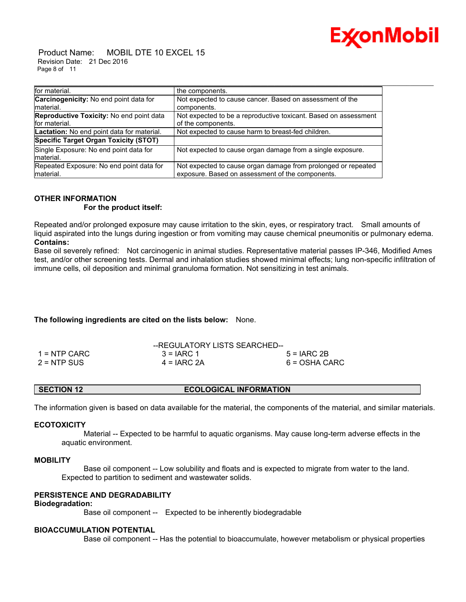

 Product Name: MOBIL DTE 10 EXCEL 15 Revision Date: 21 Dec 2016 Page 8 of 11

| for material.                                   | the components.                                                 |
|-------------------------------------------------|-----------------------------------------------------------------|
| <b>Carcinogenicity:</b> No end point data for   | Not expected to cause cancer. Based on assessment of the        |
| Imaterial.                                      | components.                                                     |
| <b>Reproductive Toxicity: No end point data</b> | Not expected to be a reproductive toxicant. Based on assessment |
| for material.                                   | of the components.                                              |
| Lactation: No end point data for material.      | Not expected to cause harm to breast-fed children.              |
| Specific Target Organ Toxicity (STOT)           |                                                                 |
| Single Exposure: No end point data for          | Not expected to cause organ damage from a single exposure.      |
| Imaterial.                                      |                                                                 |
| Repeated Exposure: No end point data for        | Not expected to cause organ damage from prolonged or repeated   |
| material.                                       | exposure. Based on assessment of the components.                |

#### **OTHER INFORMATION For the product itself:**

Repeated and/or prolonged exposure may cause irritation to the skin, eyes, or respiratory tract. Small amounts of liquid aspirated into the lungs during ingestion or from vomiting may cause chemical pneumonitis or pulmonary edema.

# **Contains:**

Base oil severely refined: Not carcinogenic in animal studies. Representative material passes IP-346, Modified Ames test, and/or other screening tests. Dermal and inhalation studies showed minimal effects; lung non-specific infiltration of immune cells, oil deposition and minimal granuloma formation. Not sensitizing in test animals.

# **The following ingredients are cited on the lists below:** None.

|               | --REGULATORY LISTS SEARCHED-- |                 |
|---------------|-------------------------------|-----------------|
| 1 = NTP CARC  | $3 = IARC 1$                  | $5 = IARC2B$    |
| $2 = NTP$ SUS | $4 = IARC 2A$                 | $6 = OSHA CARC$ |

The information given is based on data available for the material, the components of the material, and similar materials.

# **ECOTOXICITY**

 Material -- Expected to be harmful to aquatic organisms. May cause long-term adverse effects in the aquatic environment.

# **MOBILITY**

 Base oil component -- Low solubility and floats and is expected to migrate from water to the land. Expected to partition to sediment and wastewater solids.

# **PERSISTENCE AND DEGRADABILITY**

# **Biodegradation:**

Base oil component -- Expected to be inherently biodegradable

# **BIOACCUMULATION POTENTIAL**

Base oil component -- Has the potential to bioaccumulate, however metabolism or physical properties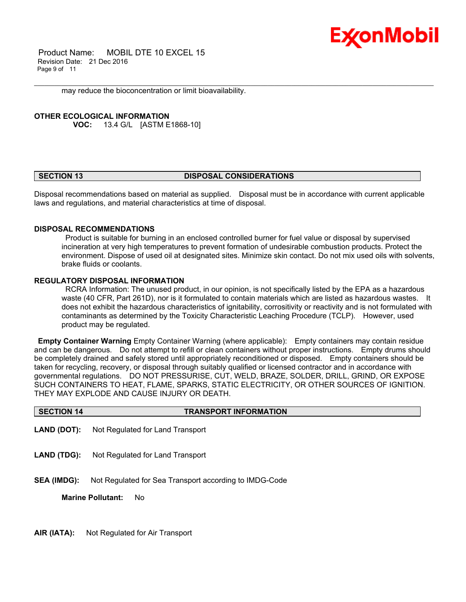

 Product Name: MOBIL DTE 10 EXCEL 15 Revision Date: 21 Dec 2016 Page 9 of 11

may reduce the bioconcentration or limit bioavailability.

# **OTHER ECOLOGICAL INFORMATION**

**VOC:** 13.4 G/L [ASTM E1868-10]

# **SECTION 13 DISPOSAL CONSIDERATIONS**

\_\_\_\_\_\_\_\_\_\_\_\_\_\_\_\_\_\_\_\_\_\_\_\_\_\_\_\_\_\_\_\_\_\_\_\_\_\_\_\_\_\_\_\_\_\_\_\_\_\_\_\_\_\_\_\_\_\_\_\_\_\_\_\_\_\_\_\_\_\_\_\_\_\_\_\_\_\_\_\_\_\_\_\_\_\_\_\_\_\_\_\_\_\_\_\_\_\_\_\_\_\_\_\_\_\_\_\_\_\_\_\_\_\_\_\_\_\_

Disposal recommendations based on material as supplied. Disposal must be in accordance with current applicable laws and regulations, and material characteristics at time of disposal.

### **DISPOSAL RECOMMENDATIONS**

 Product is suitable for burning in an enclosed controlled burner for fuel value or disposal by supervised incineration at very high temperatures to prevent formation of undesirable combustion products. Protect the environment. Dispose of used oil at designated sites. Minimize skin contact. Do not mix used oils with solvents, brake fluids or coolants.

# **REGULATORY DISPOSAL INFORMATION**

 RCRA Information: The unused product, in our opinion, is not specifically listed by the EPA as a hazardous waste (40 CFR, Part 261D), nor is it formulated to contain materials which are listed as hazardous wastes. It does not exhibit the hazardous characteristics of ignitability, corrositivity or reactivity and is not formulated with contaminants as determined by the Toxicity Characteristic Leaching Procedure (TCLP). However, used product may be regulated.

**Empty Container Warning** Empty Container Warning (where applicable): Empty containers may contain residue and can be dangerous. Do not attempt to refill or clean containers without proper instructions. Empty drums should be completely drained and safely stored until appropriately reconditioned or disposed. Empty containers should be taken for recycling, recovery, or disposal through suitably qualified or licensed contractor and in accordance with governmental regulations. DO NOT PRESSURISE, CUT, WELD, BRAZE, SOLDER, DRILL, GRIND, OR EXPOSE SUCH CONTAINERS TO HEAT, FLAME, SPARKS, STATIC ELECTRICITY, OR OTHER SOURCES OF IGNITION. THEY MAY EXPLODE AND CAUSE INJURY OR DEATH.

|  | <b>SECTION 14</b> | <b>TRANSPORT INFORMATION</b> |  |
|--|-------------------|------------------------------|--|
|--|-------------------|------------------------------|--|

- **LAND (DOT):** Not Regulated for Land Transport
- **LAND (TDG):** Not Regulated for Land Transport
- **SEA (IMDG):** Not Regulated for Sea Transport according to IMDG-Code

**Marine Pollutant:** No

**AIR (IATA):** Not Regulated for Air Transport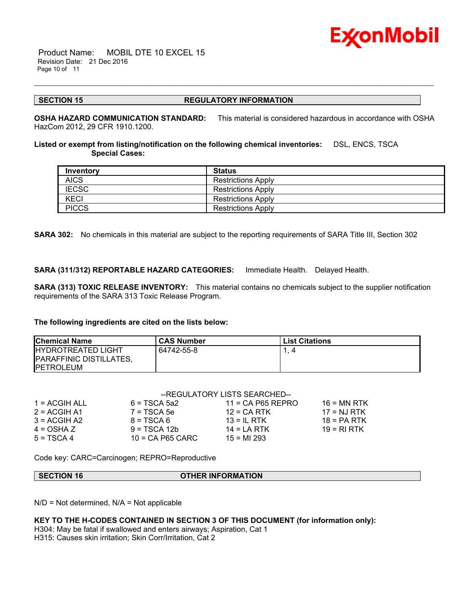

 Product Name: MOBIL DTE 10 EXCEL 15 Revision Date: 21 Dec 2016 Page 10 of 11

### **SECTION 15 REGULATORY INFORMATION**

\_\_\_\_\_\_\_\_\_\_\_\_\_\_\_\_\_\_\_\_\_\_\_\_\_\_\_\_\_\_\_\_\_\_\_\_\_\_\_\_\_\_\_\_\_\_\_\_\_\_\_\_\_\_\_\_\_\_\_\_\_\_\_\_\_\_\_\_\_\_\_\_\_\_\_\_\_\_\_\_\_\_\_\_\_\_\_\_\_\_\_\_\_\_\_\_\_\_\_\_\_\_\_\_\_\_\_\_\_\_\_\_\_\_\_\_\_\_

**OSHA HAZARD COMMUNICATION STANDARD:** This material is considered hazardous in accordance with OSHA HazCom 2012, 29 CFR 1910.1200.

**Listed or exempt from listing/notification on the following chemical inventories:** DSL, ENCS, TSCA  **Special Cases:**

| Inventory    | <b>Status</b>             |
|--------------|---------------------------|
| <b>AICS</b>  | <b>Restrictions Apply</b> |
| <b>IECSC</b> | <b>Restrictions Apply</b> |
| <b>KECI</b>  | <b>Restrictions Apply</b> |
| <b>PICCS</b> | <b>Restrictions Apply</b> |

**SARA 302:** No chemicals in this material are subject to the reporting requirements of SARA Title III, Section 302

**SARA (311/312) REPORTABLE HAZARD CATEGORIES:** Immediate Health. Delayed Health.

**SARA (313) TOXIC RELEASE INVENTORY:** This material contains no chemicals subject to the supplier notification requirements of the SARA 313 Toxic Release Program.

# **The following ingredients are cited on the lists below:**

| <b>Chemical Name</b>                                                               | <b>CAS Number</b> | <b>List Citations</b> |
|------------------------------------------------------------------------------------|-------------------|-----------------------|
| <b>IHYDROTREATED LIGHT</b><br><b>IPARAFFINIC DISTILLATES,</b><br><b>IPETROLEUM</b> | 64742-55-8        |                       |

| --REGULATORY LISTS SEARCHED-- |                    |                     |               |  |
|-------------------------------|--------------------|---------------------|---------------|--|
| $1 = ACGIH ALL$               | $6 = TSCA 5a2$     | $11 = CA$ P65 REPRO | $16 = MN$ RTK |  |
| $2 = ACGIH A1$                | $7 = TSCA5e$       | $12$ = CA RTK       | $17 = NJ RTK$ |  |
| $3 = ACGIH A2$                | $8 = TSCA6$        | $13 = 1$ RTK        | 18 = PA RTK   |  |
| $4 = OSHA Z$                  | $9 = TSCA 12b$     | 14 = LA RTK         | 19 = RI RTK   |  |
| $5 = TSCA4$                   | $10$ = CA P65 CARC | $15 = M1 293$       |               |  |

Code key: CARC=Carcinogen; REPRO=Reproductive

| <b>OTHER INFORMATION</b><br>SECTION 16 |
|----------------------------------------|
|----------------------------------------|

 $N/D$  = Not determined,  $N/A$  = Not applicable

**KEY TO THE H-CODES CONTAINED IN SECTION 3 OF THIS DOCUMENT (for information only):**

H304: May be fatal if swallowed and enters airways; Aspiration, Cat 1 H315: Causes skin irritation; Skin Corr/Irritation, Cat 2